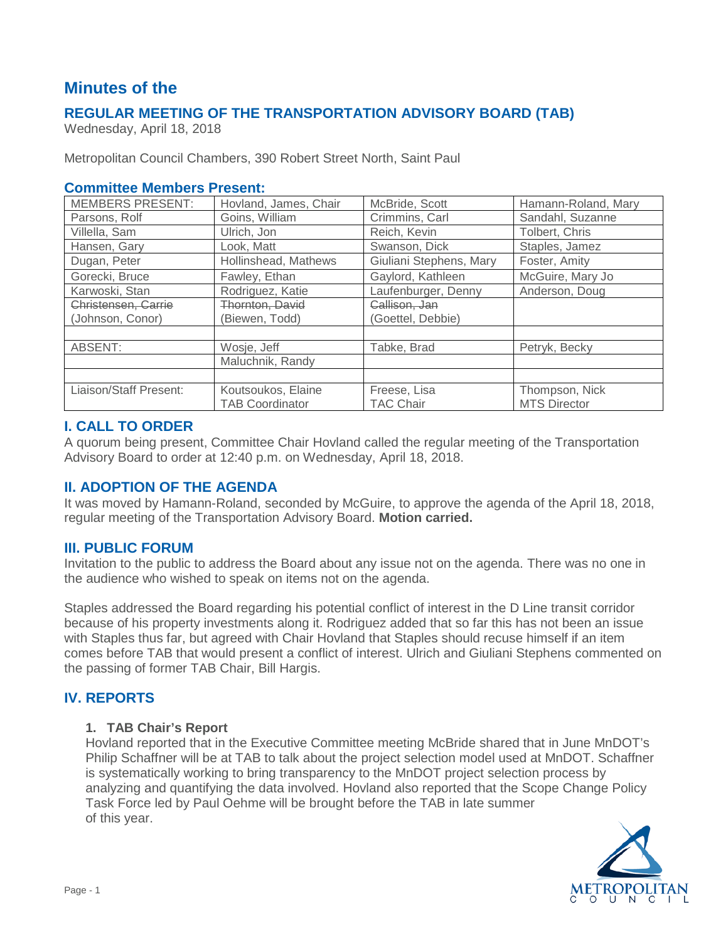# **Minutes of the**

# **REGULAR MEETING OF THE TRANSPORTATION ADVISORY BOARD (TAB)**

Wednesday, April 18, 2018

Metropolitan Council Chambers, 390 Robert Street North, Saint Paul

### **Committee Members Present:**

| <b>MEMBERS PRESENT:</b> | Hovland, James, Chair  | McBride, Scott          | Hamann-Roland, Mary |
|-------------------------|------------------------|-------------------------|---------------------|
| Parsons, Rolf           | Goins, William         | Crimmins, Carl          | Sandahl, Suzanne    |
| Villella, Sam           | Ulrich, Jon            | Reich, Kevin            | Tolbert, Chris      |
| Hansen, Gary            | Look, Matt             | Swanson, Dick           | Staples, Jamez      |
| Dugan, Peter            | Hollinshead, Mathews   | Giuliani Stephens, Mary | Foster, Amity       |
| Gorecki, Bruce          | Fawley, Ethan          | Gaylord, Kathleen       | McGuire, Mary Jo    |
| Karwoski, Stan          | Rodriguez, Katie       | Laufenburger, Denny     | Anderson, Doug      |
| Christensen, Carrie     | Thornton, David        | Callison, Jan           |                     |
| (Johnson, Conor)        | (Biewen, Todd)         | Goettel, Debbie)        |                     |
|                         |                        |                         |                     |
| ABSENT:                 | Wosje, Jeff            | Tabke, Brad             | Petryk, Becky       |
|                         | Maluchnik, Randy       |                         |                     |
|                         |                        |                         |                     |
| Liaison/Staff Present:  | Koutsoukos, Elaine     | Freese, Lisa            | Thompson, Nick      |
|                         | <b>TAB Coordinator</b> | TAC Chair               | <b>MTS Director</b> |

# **I. CALL TO ORDER**

A quorum being present, Committee Chair Hovland called the regular meeting of the Transportation Advisory Board to order at 12:40 p.m. on Wednesday, April 18, 2018.

# **II. ADOPTION OF THE AGENDA**

It was moved by Hamann-Roland, seconded by McGuire, to approve the agenda of the April 18, 2018, regular meeting of the Transportation Advisory Board. **Motion carried.**

# **III. PUBLIC FORUM**

Invitation to the public to address the Board about any issue not on the agenda. There was no one in the audience who wished to speak on items not on the agenda.

Staples addressed the Board regarding his potential conflict of interest in the D Line transit corridor because of his property investments along it. Rodriguez added that so far this has not been an issue with Staples thus far, but agreed with Chair Hovland that Staples should recuse himself if an item comes before TAB that would present a conflict of interest. Ulrich and Giuliani Stephens commented on the passing of former TAB Chair, Bill Hargis.

# **IV. REPORTS**

### **1. TAB Chair's Report**

Hovland reported that in the Executive Committee meeting McBride shared that in June MnDOT's Philip Schaffner will be at TAB to talk about the project selection model used at MnDOT. Schaffner is systematically working to bring transparency to the MnDOT project selection process by analyzing and quantifying the data involved. Hovland also reported that the Scope Change Policy Task Force led by Paul Oehme will be brought before the TAB in late summer of this year.

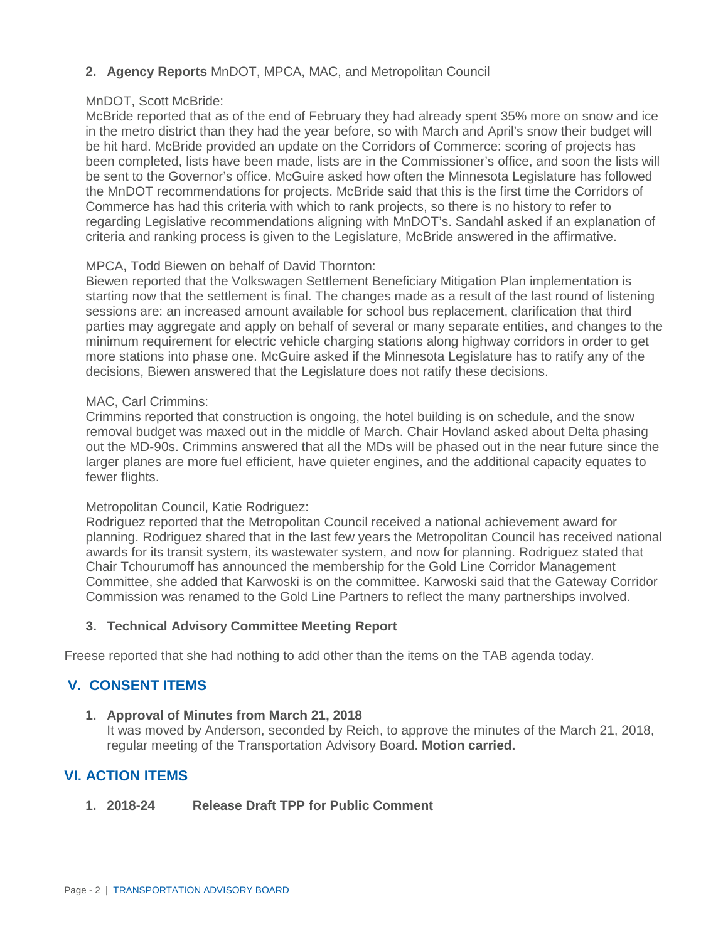# **2. Agency Reports** MnDOT, MPCA, MAC, and Metropolitan Council

#### MnDOT, Scott McBride:

McBride reported that as of the end of February they had already spent 35% more on snow and ice in the metro district than they had the year before, so with March and April's snow their budget will be hit hard. McBride provided an update on the Corridors of Commerce: scoring of projects has been completed, lists have been made, lists are in the Commissioner's office, and soon the lists will be sent to the Governor's office. McGuire asked how often the Minnesota Legislature has followed the MnDOT recommendations for projects. McBride said that this is the first time the Corridors of Commerce has had this criteria with which to rank projects, so there is no history to refer to regarding Legislative recommendations aligning with MnDOT's. Sandahl asked if an explanation of criteria and ranking process is given to the Legislature, McBride answered in the affirmative.

#### MPCA, Todd Biewen on behalf of David Thornton:

Biewen reported that the Volkswagen Settlement Beneficiary Mitigation Plan implementation is starting now that the settlement is final. The changes made as a result of the last round of listening sessions are: an increased amount available for school bus replacement, clarification that third parties may aggregate and apply on behalf of several or many separate entities, and changes to the minimum requirement for electric vehicle charging stations along highway corridors in order to get more stations into phase one. McGuire asked if the Minnesota Legislature has to ratify any of the decisions, Biewen answered that the Legislature does not ratify these decisions.

#### MAC, Carl Crimmins:

Crimmins reported that construction is ongoing, the hotel building is on schedule, and the snow removal budget was maxed out in the middle of March. Chair Hovland asked about Delta phasing out the MD-90s. Crimmins answered that all the MDs will be phased out in the near future since the larger planes are more fuel efficient, have quieter engines, and the additional capacity equates to fewer flights.

#### Metropolitan Council, Katie Rodriguez:

Rodriguez reported that the Metropolitan Council received a national achievement award for planning. Rodriguez shared that in the last few years the Metropolitan Council has received national awards for its transit system, its wastewater system, and now for planning. Rodriguez stated that Chair Tchourumoff has announced the membership for the Gold Line Corridor Management Committee, she added that Karwoski is on the committee. Karwoski said that the Gateway Corridor Commission was renamed to the Gold Line Partners to reflect the many partnerships involved.

### **3. Technical Advisory Committee Meeting Report**

Freese reported that she had nothing to add other than the items on the TAB agenda today.

# **V. CONSENT ITEMS**

#### **1. Approval of Minutes from March 21, 2018**

It was moved by Anderson, seconded by Reich, to approve the minutes of the March 21, 2018, regular meeting of the Transportation Advisory Board. **Motion carried.**

# **VI. ACTION ITEMS**

**1. 2018-24 Release Draft TPP for Public Comment**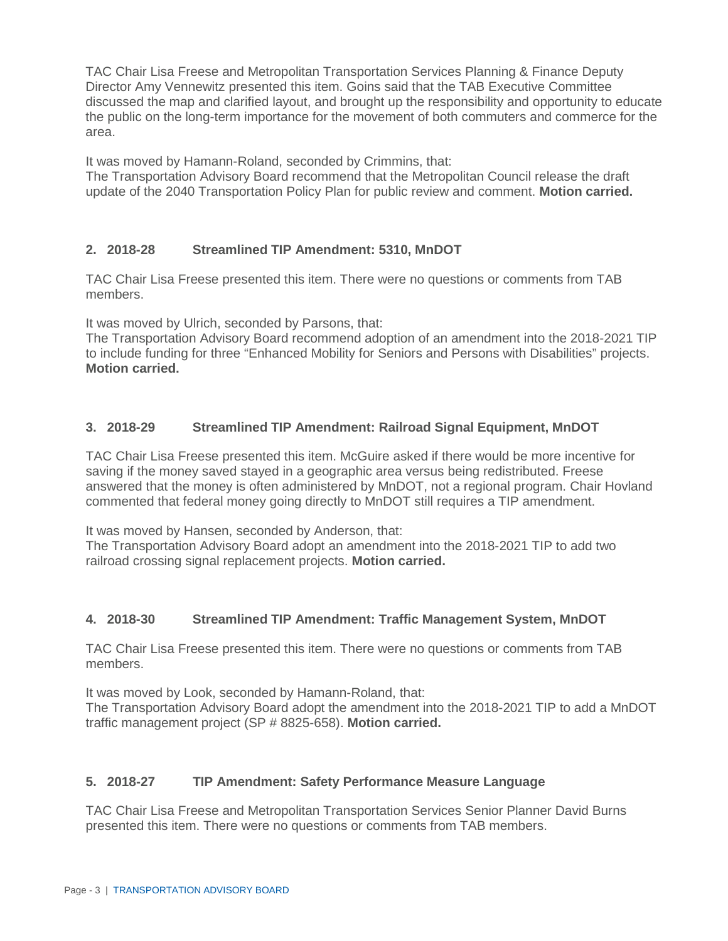TAC Chair Lisa Freese and Metropolitan Transportation Services Planning & Finance Deputy Director Amy Vennewitz presented this item. Goins said that the TAB Executive Committee discussed the map and clarified layout, and brought up the responsibility and opportunity to educate the public on the long-term importance for the movement of both commuters and commerce for the area.

It was moved by Hamann-Roland, seconded by Crimmins, that:

The Transportation Advisory Board recommend that the Metropolitan Council release the draft update of the 2040 Transportation Policy Plan for public review and comment. **Motion carried.**

### **2. 2018-28 Streamlined TIP Amendment: 5310, MnDOT**

TAC Chair Lisa Freese presented this item. There were no questions or comments from TAB members.

It was moved by Ulrich, seconded by Parsons, that:

The Transportation Advisory Board recommend adoption of an amendment into the 2018-2021 TIP to include funding for three "Enhanced Mobility for Seniors and Persons with Disabilities" projects. **Motion carried.**

# **3. 2018-29 Streamlined TIP Amendment: Railroad Signal Equipment, MnDOT**

TAC Chair Lisa Freese presented this item. McGuire asked if there would be more incentive for saving if the money saved stayed in a geographic area versus being redistributed. Freese answered that the money is often administered by MnDOT, not a regional program. Chair Hovland commented that federal money going directly to MnDOT still requires a TIP amendment.

It was moved by Hansen, seconded by Anderson, that:

The Transportation Advisory Board adopt an amendment into the 2018-2021 TIP to add two railroad crossing signal replacement projects. **Motion carried.**

### **4. 2018-30 Streamlined TIP Amendment: Traffic Management System, MnDOT**

TAC Chair Lisa Freese presented this item. There were no questions or comments from TAB members.

It was moved by Look, seconded by Hamann-Roland, that:

The Transportation Advisory Board adopt the amendment into the 2018-2021 TIP to add a MnDOT traffic management project (SP # 8825-658). **Motion carried.**

### **5. 2018-27 TIP Amendment: Safety Performance Measure Language**

TAC Chair Lisa Freese and Metropolitan Transportation Services Senior Planner David Burns presented this item. There were no questions or comments from TAB members.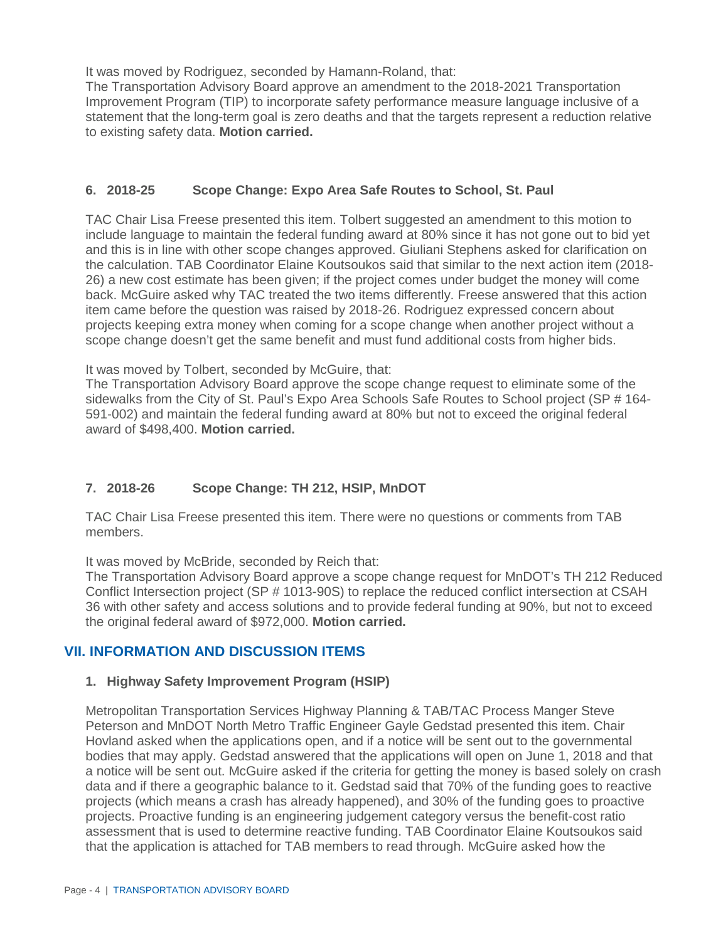It was moved by Rodriguez, seconded by Hamann-Roland, that:

The Transportation Advisory Board approve an amendment to the 2018-2021 Transportation Improvement Program (TIP) to incorporate safety performance measure language inclusive of a statement that the long-term goal is zero deaths and that the targets represent a reduction relative to existing safety data. **Motion carried.**

### **6. 2018-25 Scope Change: Expo Area Safe Routes to School, St. Paul**

TAC Chair Lisa Freese presented this item. Tolbert suggested an amendment to this motion to include language to maintain the federal funding award at 80% since it has not gone out to bid yet and this is in line with other scope changes approved. Giuliani Stephens asked for clarification on the calculation. TAB Coordinator Elaine Koutsoukos said that similar to the next action item (2018- 26) a new cost estimate has been given; if the project comes under budget the money will come back. McGuire asked why TAC treated the two items differently. Freese answered that this action item came before the question was raised by 2018-26. Rodriguez expressed concern about projects keeping extra money when coming for a scope change when another project without a scope change doesn't get the same benefit and must fund additional costs from higher bids.

It was moved by Tolbert, seconded by McGuire, that:

The Transportation Advisory Board approve the scope change request to eliminate some of the sidewalks from the City of St. Paul's Expo Area Schools Safe Routes to School project (SP # 164- 591-002) and maintain the federal funding award at 80% but not to exceed the original federal award of \$498,400. **Motion carried.**

# **7. 2018-26 Scope Change: TH 212, HSIP, MnDOT**

TAC Chair Lisa Freese presented this item. There were no questions or comments from TAB members.

It was moved by McBride, seconded by Reich that:

The Transportation Advisory Board approve a scope change request for MnDOT's TH 212 Reduced Conflict Intersection project (SP # 1013-90S) to replace the reduced conflict intersection at CSAH 36 with other safety and access solutions and to provide federal funding at 90%, but not to exceed the original federal award of \$972,000. **Motion carried.**

# **VII. INFORMATION AND DISCUSSION ITEMS**

### **1. Highway Safety Improvement Program (HSIP)**

Metropolitan Transportation Services Highway Planning & TAB/TAC Process Manger Steve Peterson and MnDOT North Metro Traffic Engineer Gayle Gedstad presented this item. Chair Hovland asked when the applications open, and if a notice will be sent out to the governmental bodies that may apply. Gedstad answered that the applications will open on June 1, 2018 and that a notice will be sent out. McGuire asked if the criteria for getting the money is based solely on crash data and if there a geographic balance to it. Gedstad said that 70% of the funding goes to reactive projects (which means a crash has already happened), and 30% of the funding goes to proactive projects. Proactive funding is an engineering judgement category versus the benefit-cost ratio assessment that is used to determine reactive funding. TAB Coordinator Elaine Koutsoukos said that the application is attached for TAB members to read through. McGuire asked how the